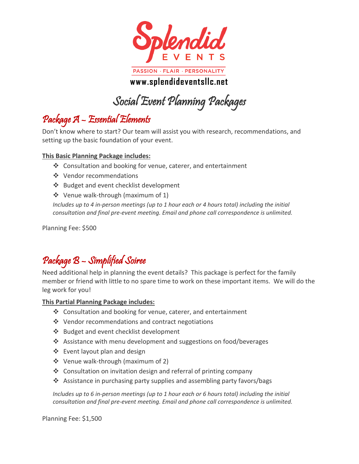

**www.splendideventsllc.net**

Social Event Planning Packages

# Package A – Essential Elements

Don't know where to start? Our team will assist you with research, recommendations, and setting up the basic foundation of your event.

### **This Basic Planning Package includes:**

- ❖ Consultation and booking for venue, caterer, and entertainment
- ❖ Vendor recommendations
- ❖ Budget and event checklist development
- ❖ Venue walk-through (maximum of 1)

*Includes up to 4 in-person meetings (up to 1 hour each or 4 hours total) including the initial consultation and final pre-event meeting. Email and phone call correspondence is unlimited.*

Planning Fee: \$500

### Package B – Simplified Soiree

Need additional help in planning the event details? This package is perfect for the family member or friend with little to no spare time to work on these important items. We will do the leg work for you!

**This Partial Planning Package includes:**

- ❖ Consultation and booking for venue, caterer, and entertainment
- ❖ Vendor recommendations and contract negotiations
- ❖ Budget and event checklist development
- ❖ Assistance with menu development and suggestions on food/beverages
- ❖ Event layout plan and design
- ❖ Venue walk-through (maximum of 2)
- ❖ Consultation on invitation design and referral of printing company
- ❖ Assistance in purchasing party supplies and assembling party favors/bags

*Includes up to 6 in-person meetings (up to 1 hour each or 6 hours total) including the initial consultation and final pre-event meeting. Email and phone call correspondence is unlimited.*

Planning Fee: \$1,500